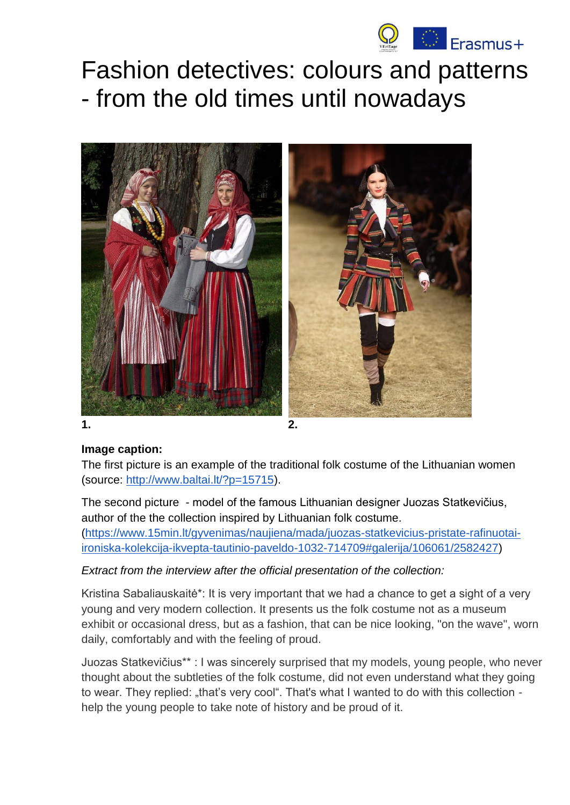

# Fashion detectives: colours and patterns - from the old times until nowadays



**1. 2.** 

#### **Image caption:**

The first picture is an example of the traditional folk costume of the Lithuanian women (source: [http://www.baltai.lt/?p=15715\)](http://www.baltai.lt/?p=15715).

The second picture - model of the famous Lithuanian designer Juozas Statkevičius, author of the the collection inspired by Lithuanian folk costume. [\(https://www.15min.lt/gyvenimas/naujiena/mada/juozas-statkevicius-pristate-rafinuotai](https://www.15min.lt/gyvenimas/naujiena/mada/juozas-statkevicius-pristate-rafinuotai-ironiska-kolekcija-ikvepta-tautinio-paveldo-1032-714709#galerija/106061/2582427)[ironiska-kolekcija-ikvepta-tautinio-paveldo-1032-714709#galerija/106061/2582427\)](https://www.15min.lt/gyvenimas/naujiena/mada/juozas-statkevicius-pristate-rafinuotai-ironiska-kolekcija-ikvepta-tautinio-paveldo-1032-714709#galerija/106061/2582427)

### *Extract from the interview after the official presentation of the collection:*

Kristina Sabaliauskaitė\*: It is very important that we had a chance to get a sight of a very young and very modern collection. It presents us the folk costume not as a museum exhibit or occasional dress, but as a fashion, that can be nice looking, "on the wave", worn daily, comfortably and with the feeling of proud.

Juozas Statkevičius\*\* : I was sincerely surprised that my models, young people, who never thought about the subtleties of the folk costume, did not even understand what they going to wear. They replied: "that's very cool". That's what I wanted to do with this collection help the young people to take note of history and be proud of it.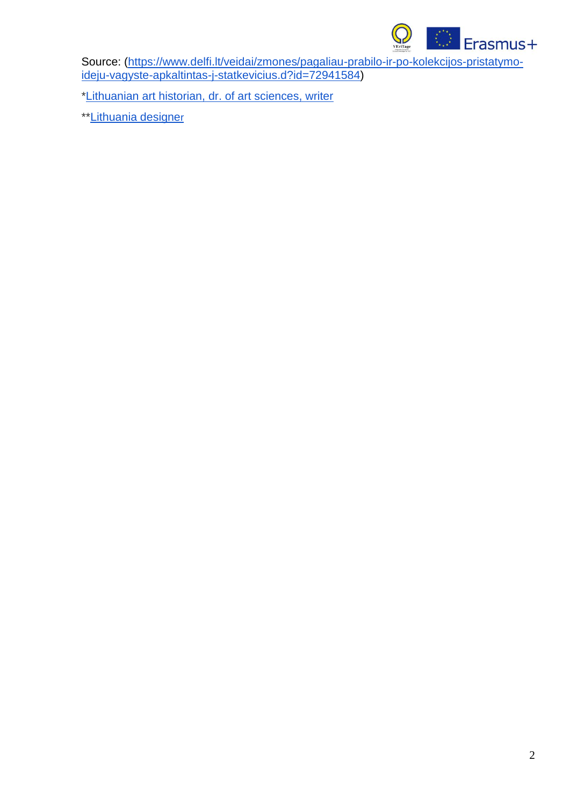

Source: [\(https://www.delfi.lt/veidai/zmones/pagaliau-prabilo-ir-po-kolekcijos-pristatymo](https://www.delfi.lt/veidai/zmones/pagaliau-prabilo-ir-po-kolekcijos-pristatymo-ideju-vagyste-apkaltintas-j-statkevicius.d?id=72941584)[ideju-vagyste-apkaltintas-j-statkevicius.d?id=72941584\)](https://www.delfi.lt/veidai/zmones/pagaliau-prabilo-ir-po-kolekcijos-pristatymo-ideju-vagyste-apkaltintas-j-statkevicius.d?id=72941584)

[\\*Lithuanian art historian, dr. of art sciences, writer](http://www.sabaliauskaite.com/)

\*[\\*Lithuania designe](http://statkevicius.com/)[r](http://statkevicius.com/)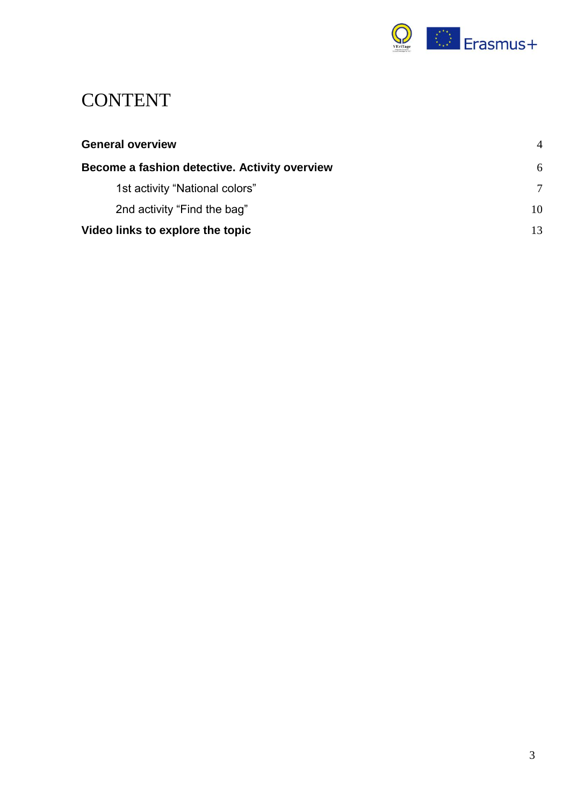

## **CONTENT**

| <b>General overview</b>                       | $\overline{A}$ |
|-----------------------------------------------|----------------|
| Become a fashion detective. Activity overview | 6              |
| 1st activity "National colors"                | 7              |
| 2nd activity "Find the bag"                   | 10             |
| Video links to explore the topic              |                |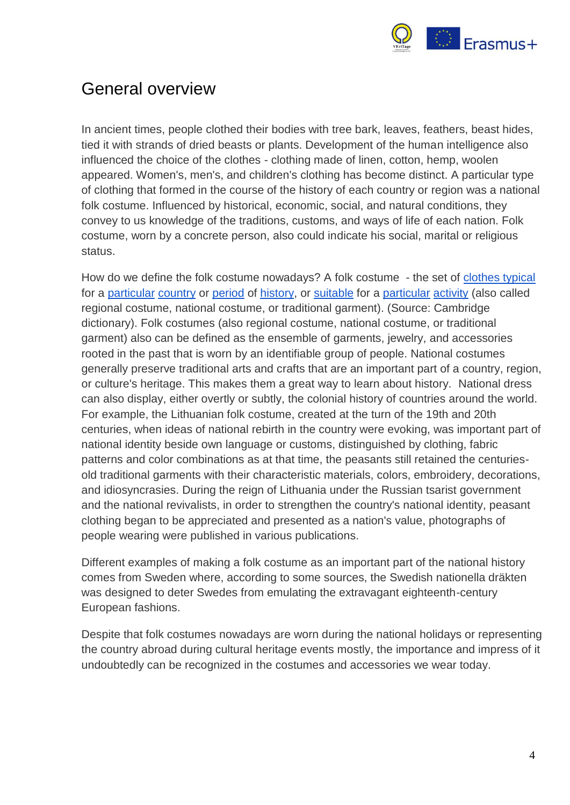

### <span id="page-3-0"></span>General overview

In ancient times, people clothed their bodies with tree bark, leaves, feathers, beast hides, tied it with strands of dried beasts or plants. Development of the human intelligence also influenced the choice of the clothes - clothing made of linen, cotton, hemp, woolen appeared. Women's, men's, and children's clothing has become distinct. A particular type of clothing that formed in the course of the history of each country or region was a national folk costume. Influenced by historical, economic, social, and natural conditions, they convey to us knowledge of the traditions, customs, and ways of life of each nation. Folk costume, worn by a concrete person, also could indicate his social, marital or religious status.

How do we define the folk costume nowadays? A folk costume - the set of [clothes typical](https://dictionary.cambridge.org/dictionary/english/clothes) for a [particular](https://dictionary.cambridge.org/dictionary/english/particular) [country](https://dictionary.cambridge.org/dictionary/english/country) or [period](https://dictionary.cambridge.org/dictionary/english/period) of [history,](https://dictionary.cambridge.org/dictionary/english/history) or [suitable](https://dictionary.cambridge.org/dictionary/english/suitable) for a [particular](https://dictionary.cambridge.org/dictionary/english/particular) [activity](https://dictionary.cambridge.org/dictionary/english/activity) (also called regional costume, national costume, or traditional garment). (Source: Cambridge dictionary). Folk costumes (also regional costume, national costume, or traditional garment) also can be defined as the ensemble of garments, jewelry, and accessories rooted in the past that is worn by an identifiable group of people. National costumes generally preserve traditional arts and crafts that are an important part of a country, region, or culture's heritage. This makes them a great way to learn about history. National dress can also display, either overtly or subtly, the colonial history of countries around the world. For example, the Lithuanian folk costume, created at the turn of the 19th and 20th centuries, when ideas of national rebirth in the country were evoking, was important part of national identity beside own language or customs, distinguished by clothing, fabric patterns and color combinations as at that time, the peasants still retained the centuriesold traditional garments with their characteristic materials, colors, embroidery, decorations, and idiosyncrasies. During the reign of Lithuania under the Russian tsarist government and the national revivalists, in order to strengthen the country's national identity, peasant clothing began to be appreciated and presented as a nation's value, photographs of people wearing were published in various publications.

Different examples of making a folk costume as an important part of the national history comes from Sweden where, according to some sources, the Swedish nationella dräkten was designed to deter Swedes from emulating the extravagant eighteenth-century European fashions.

Despite that folk costumes nowadays are worn during the national holidays or representing the country abroad during cultural heritage events mostly, the importance and impress of it undoubtedly can be recognized in the costumes and accessories we wear today.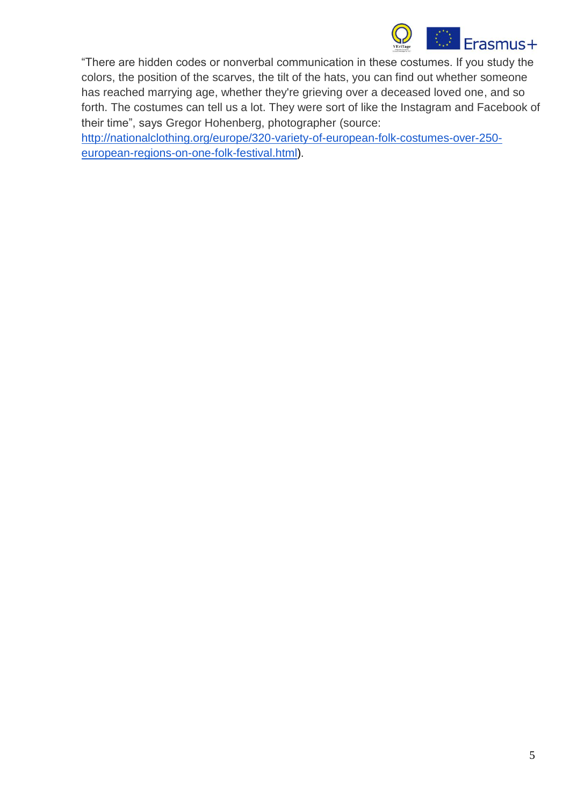

"There are hidden codes or nonverbal communication in these costumes. If you study the colors, the position of the scarves, the tilt of the hats, you can find out whether someone has reached marrying age, whether they're grieving over a deceased loved one, and so forth. The costumes can tell us a lot. They were sort of like the Instagram and Facebook of their time", says Gregor Hohenberg, photographer (source:

[http://nationalclothing.org/europe/320-variety-of-european-folk-costumes-over-250](http://nationalclothing.org/europe/320-variety-of-european-folk-costumes-over-250-european-regions-on-one-folk-festival.html) [european-regions-on-one-folk-festival.html\)](http://nationalclothing.org/europe/320-variety-of-european-folk-costumes-over-250-european-regions-on-one-folk-festival.html).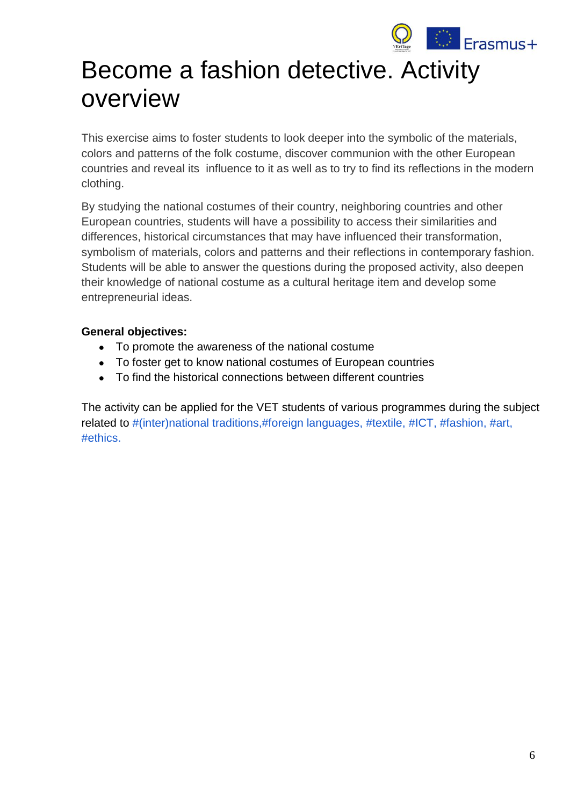

# <span id="page-5-0"></span>Become a fashion detective. Activity overview

This exercise aims to foster students to look deeper into the symbolic of the materials, colors and patterns of the folk costume, discover communion with the other European countries and reveal its influence to it as well as to try to find its reflections in the modern clothing.

By studying the national costumes of their country, neighboring countries and other European countries, students will have a possibility to access their similarities and differences, historical circumstances that may have influenced their transformation, symbolism of materials, colors and patterns and their reflections in contemporary fashion. Students will be able to answer the questions during the proposed activity, also deepen their knowledge of national costume as a cultural heritage item and develop some entrepreneurial ideas.

#### **General objectives:**

- To promote the awareness of the national costume
- To foster get to know national costumes of European countries
- To find the historical connections between different countries

The activity can be applied for the VET students of various programmes during the subject related to #(inter)national traditions,#foreign languages, #textile, #ICT, #fashion, #art, #ethics.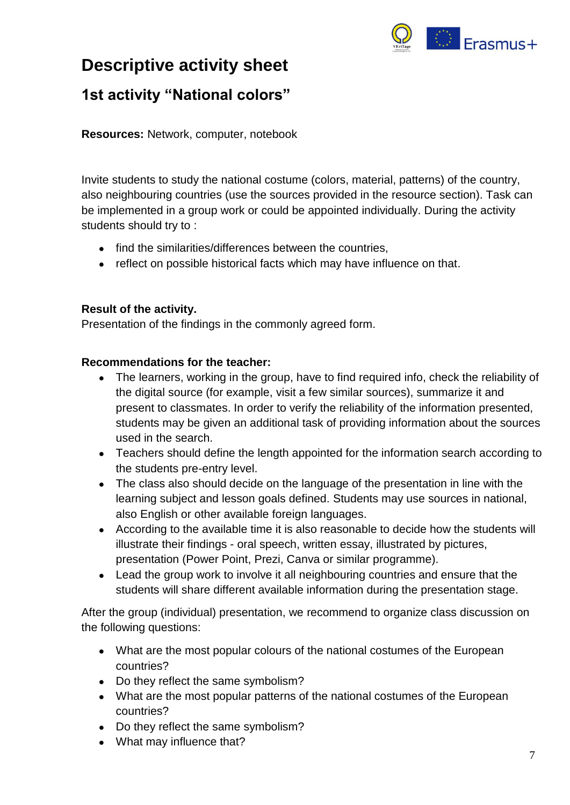

### **Descriptive activity sheet**

### <span id="page-6-0"></span>**1st activity "National colors"**

**Resources:** Network, computer, notebook

Invite students to study the national costume (colors, material, patterns) of the country, also neighbouring countries (use the sources provided in the resource section). Task can be implemented in a group work or could be appointed individually. During the activity students should try to :

- find the similarities/differences between the countries,
- reflect on possible historical facts which may have influence on that.

#### **Result of the activity.**

Presentation of the findings in the commonly agreed form.

#### **Recommendations for the teacher:**

- The learners, working in the group, have to find required info, check the reliability of the digital source (for example, visit a few similar sources), summarize it and present to classmates. In order to verify the reliability of the information presented, students may be given an additional task of providing information about the sources used in the search.
- Teachers should define the length appointed for the information search according to the students pre-entry level.
- The class also should decide on the language of the presentation in line with the learning subject and lesson goals defined. Students may use sources in national, also English or other available foreign languages.
- According to the available time it is also reasonable to decide how the students will illustrate their findings - oral speech, written essay, illustrated by pictures, presentation (Power Point, Prezi, Canva or similar programme).
- Lead the group work to involve it all neighbouring countries and ensure that the students will share different available information during the presentation stage.

After the group (individual) presentation, we recommend to organize class discussion on the following questions:

- What are the most popular colours of the national costumes of the European countries?
- Do they reflect the same symbolism?
- What are the most popular patterns of the national costumes of the European countries?
- Do they reflect the same symbolism?
- What may influence that?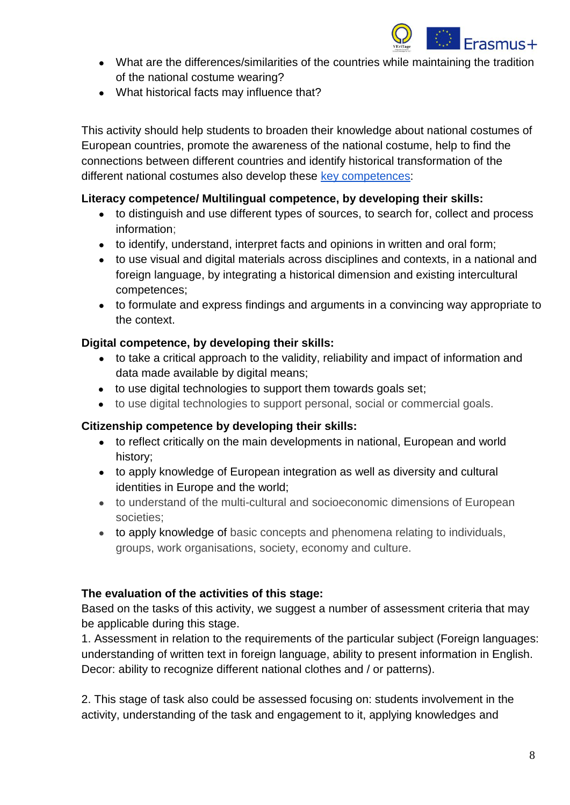

- What are the differences/similarities of the countries while maintaining the tradition of the national costume wearing?
- What historical facts may influence that?

This activity should help students to broaden their knowledge about national costumes of European countries, promote the awareness of the national costume, help to find the connections between different countries and identify historical transformation of the different national costumes also develop these [key competences:](https://eur-lex.europa.eu/legal-content/EN/TXT/?uri=uriserv:OJ.C_.2018.189.01.0001.01.ENG)

#### **Literacy competence/ Multilingual competence, by developing their skills:**

- to distinguish and use different types of sources, to search for, collect and process information;
- to identify, understand, interpret facts and opinions in written and oral form;
- to use visual and digital materials across disciplines and contexts, in a national and foreign language, by integrating a historical dimension and existing intercultural competences;
- to formulate and express findings and arguments in a convincing way appropriate to the context.

#### **Digital competence, by developing their skills:**

- to take a critical approach to the validity, reliability and impact of information and data made available by digital means;
- to use digital technologies to support them towards goals set;
- to use digital technologies to support personal, social or commercial goals.

#### **Citizenship competence by developing their skills:**

- to reflect critically on the main developments in national, European and world history;
- to apply knowledge of European integration as well as diversity and cultural identities in Europe and the world;
- to understand of the multi-cultural and socioeconomic dimensions of European societies;
- to apply knowledge of basic concepts and phenomena relating to individuals, groups, work organisations, society, economy and culture.

#### **The evaluation of the activities of this stage:**

Based on the tasks of this activity, we suggest a number of assessment criteria that may be applicable during this stage.

1. Assessment in relation to the requirements of the particular subject (Foreign languages: understanding of written text in foreign language, ability to present information in English. Decor: ability to recognize different national clothes and / or patterns).

2. This stage of task also could be assessed focusing on: students involvement in the activity, understanding of the task and engagement to it, applying knowledges and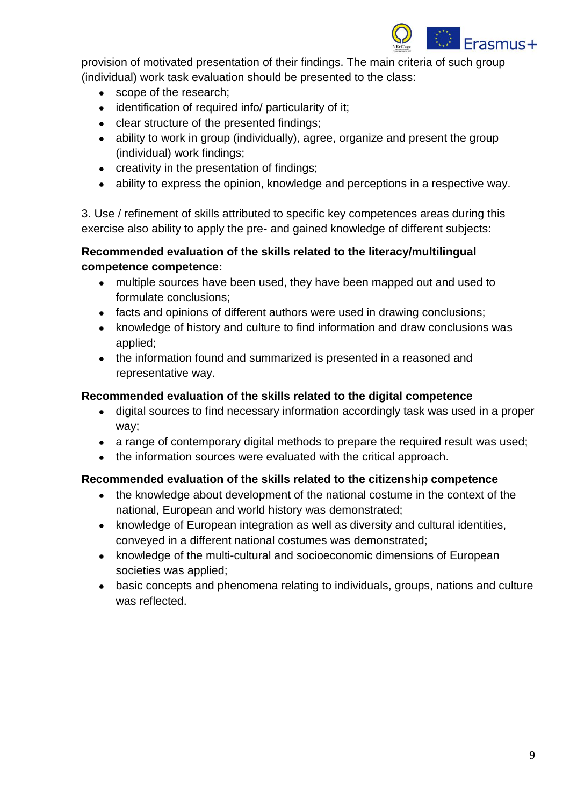

provision of motivated presentation of their findings. The main criteria of such group (individual) work task evaluation should be presented to the class:

- scope of the research;
- identification of required info/ particularity of it;
- clear structure of the presented findings;
- ability to work in group (individually), agree, organize and present the group (individual) work findings;
- creativity in the presentation of findings;
- ability to express the opinion, knowledge and perceptions in a respective way.

3. Use / refinement of skills attributed to specific key competences areas during this exercise also ability to apply the pre- and gained knowledge of different subjects:

#### **Recommended evaluation of the skills related to the literacy/multilingual competence competence:**

- multiple sources have been used, they have been mapped out and used to formulate conclusions;
- facts and opinions of different authors were used in drawing conclusions;
- knowledge of history and culture to find information and draw conclusions was applied;
- the information found and summarized is presented in a reasoned and representative way.

#### **Recommended evaluation of the skills related to the digital competence**

- digital sources to find necessary information accordingly task was used in a proper way;
- a range of contemporary digital methods to prepare the required result was used;
- the information sources were evaluated with the critical approach.

#### **Recommended evaluation of the skills related to the citizenship competence**

- the knowledge about development of the national costume in the context of the national, European and world history was demonstrated;
- knowledge of European integration as well as diversity and cultural identities, conveyed in a different national costumes was demonstrated;
- knowledge of the multi-cultural and socioeconomic dimensions of European societies was applied;
- basic concepts and phenomena relating to individuals, groups, nations and culture was reflected.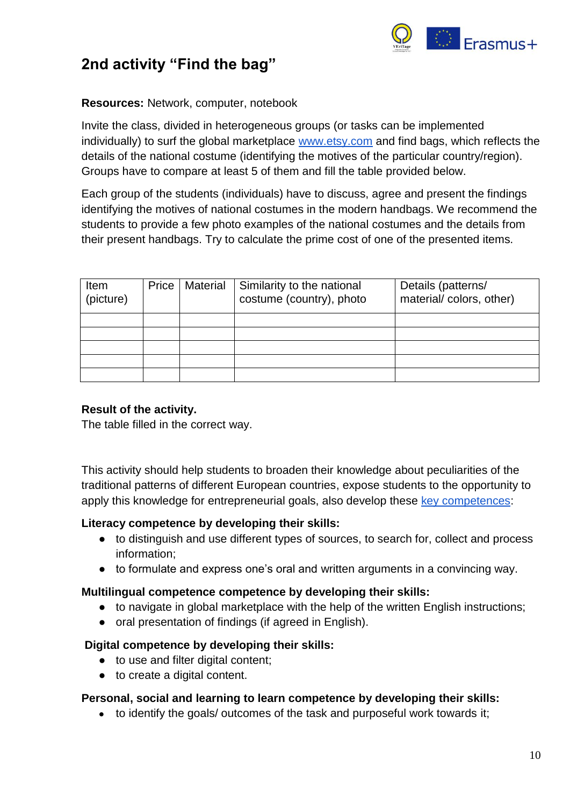

### <span id="page-9-0"></span>**2nd activity "Find the bag"**

#### **Resources:** Network, computer, notebook

Invite the class, divided in heterogeneous groups (or tasks can be implemented individually) to surf the global marketplace [www.etsy.com](http://www.etsy.com/) and find bags, which reflects the details of the national costume (identifying the motives of the particular country/region). Groups have to compare at least 5 of them and fill the table provided below.

Each group of the students (individuals) have to discuss, agree and present the findings identifying the motives of national costumes in the modern handbags. We recommend the students to provide a few photo examples of the national costumes and the details from their present handbags. Try to calculate the prime cost of one of the presented items.

| Item<br>(picture) | Price   Material | Similarity to the national<br>costume (country), photo | Details (patterns/<br>material/colors, other) |
|-------------------|------------------|--------------------------------------------------------|-----------------------------------------------|
|                   |                  |                                                        |                                               |
|                   |                  |                                                        |                                               |
|                   |                  |                                                        |                                               |
|                   |                  |                                                        |                                               |
|                   |                  |                                                        |                                               |

#### **Result of the activity.**

The table filled in the correct way.

This activity should help students to broaden their knowledge about peculiarities of the traditional patterns of different European countries, expose students to the opportunity to apply this knowledge for entrepreneurial goals, also develop these [key competences:](https://eur-lex.europa.eu/legal-content/EN/TXT/?uri=uriserv:OJ.C_.2018.189.01.0001.01.ENG)

#### **Literacy competence by developing their skills:**

- to distinguish and use different types of sources, to search for, collect and process information;
- to formulate and express one's oral and written arguments in a convincing way.

#### **Multilingual competence competence by developing their skills:**

- to navigate in global marketplace with the help of the written English instructions;
- oral presentation of findings (if agreed in English).

#### **Digital competence by developing their skills:**

- to use and filter digital content;
- to create a digital content.

#### **Personal, social and learning to learn competence by developing their skills:**

• to identify the goals/ outcomes of the task and purposeful work towards it;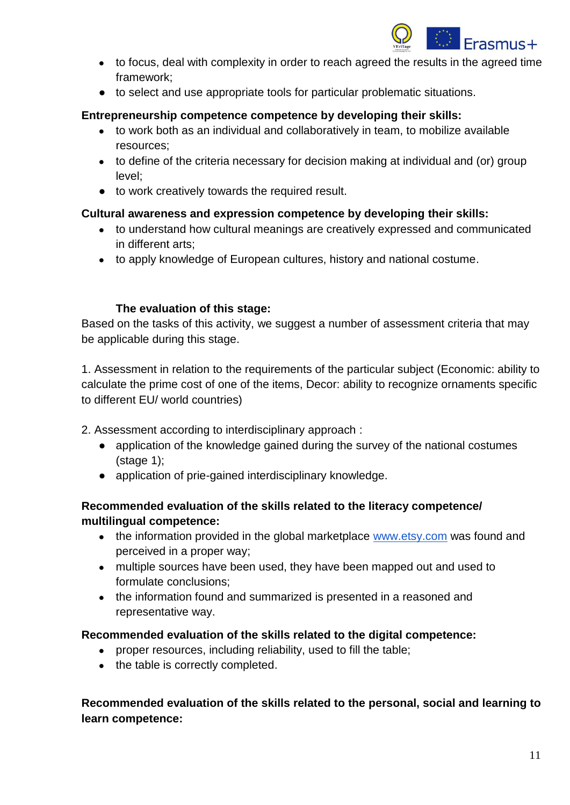

- to focus, deal with complexity in order to reach agreed the results in the agreed time framework;
- to select and use appropriate tools for particular problematic situations.

#### **Entrepreneurship competence competence by developing their skills:**

- to work both as an individual and collaboratively in team, to mobilize available resources;
- to define of the criteria necessary for decision making at individual and (or) group level;
- to work creatively towards the required result.

### **Cultural awareness and expression competence by developing their skills:**

- to understand how cultural meanings are creatively expressed and communicated in different arts;
- to apply knowledge of European cultures, history and national costume.

#### **The evaluation of this stage:**

Based on the tasks of this activity, we suggest a number of assessment criteria that may be applicable during this stage.

1. Assessment in relation to the requirements of the particular subject (Economic: ability to calculate the prime cost of one of the items, Decor: ability to recognize ornaments specific to different EU/ world countries)

2. Assessment according to interdisciplinary approach :

- application of the knowledge gained during the survey of the national costumes (stage 1);
- application of prie-gained interdisciplinary knowledge.

### **Recommended evaluation of the skills related to the literacy competence/ multilingual competence:**

- the information provided in the global marketplace [www.etsy.com](http://www.etsy.com/) was found and perceived in a proper way;
- multiple sources have been used, they have been mapped out and used to formulate conclusions;
- the information found and summarized is presented in a reasoned and representative way.

#### **Recommended evaluation of the skills related to the digital competence:**

- proper resources, including reliability, used to fill the table;
- the table is correctly completed.

**Recommended evaluation of the skills related to the personal, social and learning to learn competence:**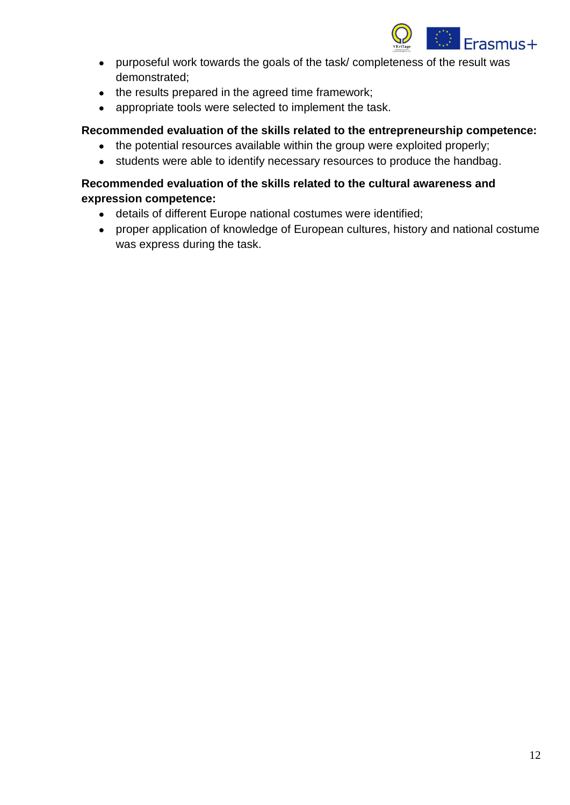

- purposeful work towards the goals of the task/ completeness of the result was demonstrated;
- the results prepared in the agreed time framework;
- appropriate tools were selected to implement the task.

#### **Recommended evaluation of the skills related to the entrepreneurship competence:**

- the potential resources available within the group were exploited properly;
- students were able to identify necessary resources to produce the handbag.

#### **Recommended evaluation of the skills related to the cultural awareness and expression competence:**

- details of different Europe national costumes were identified;
- proper application of knowledge of European cultures, history and national costume was express during the task.